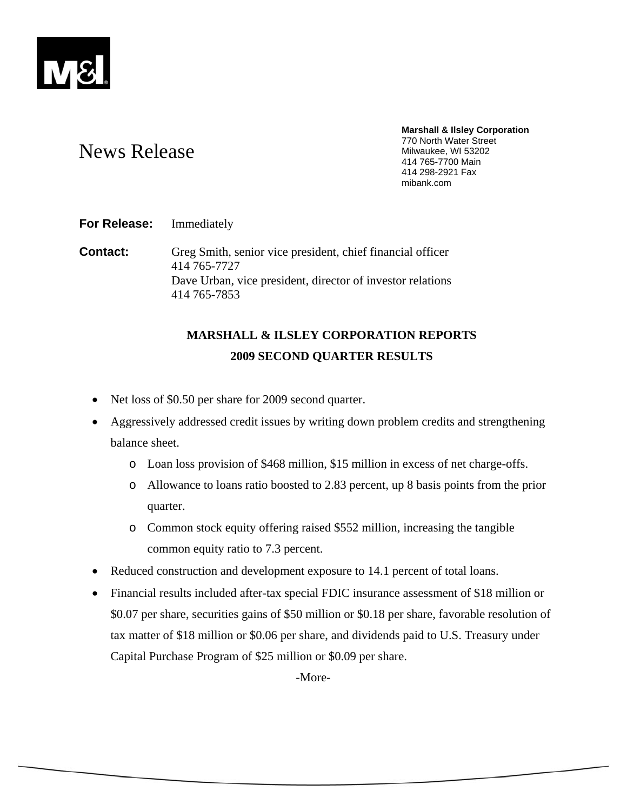

#### **Marshall & Ilsley Corporation**  770 North Water Street Milwaukee, WI 53202 414 765-7700 Main 414 298-2921 Fax mibank.com

# News Release

**For Release:** Immediately

**Contact:** Greg Smith, senior vice president, chief financial officer 414 765-7727 Dave Urban, vice president, director of investor relations 414 765-7853

## **MARSHALL & ILSLEY CORPORATION REPORTS 2009 SECOND QUARTER RESULTS**

- Net loss of \$0.50 per share for 2009 second quarter.
- Aggressively addressed credit issues by writing down problem credits and strengthening balance sheet.
	- o Loan loss provision of \$468 million, \$15 million in excess of net charge-offs.
	- o Allowance to loans ratio boosted to 2.83 percent, up 8 basis points from the prior quarter.
	- o Common stock equity offering raised \$552 million, increasing the tangible common equity ratio to 7.3 percent.
- Reduced construction and development exposure to 14.1 percent of total loans.
- Financial results included after-tax special FDIC insurance assessment of \$18 million or \$0.07 per share, securities gains of \$50 million or \$0.18 per share, favorable resolution of tax matter of \$18 million or \$0.06 per share, and dividends paid to U.S. Treasury under Capital Purchase Program of \$25 million or \$0.09 per share.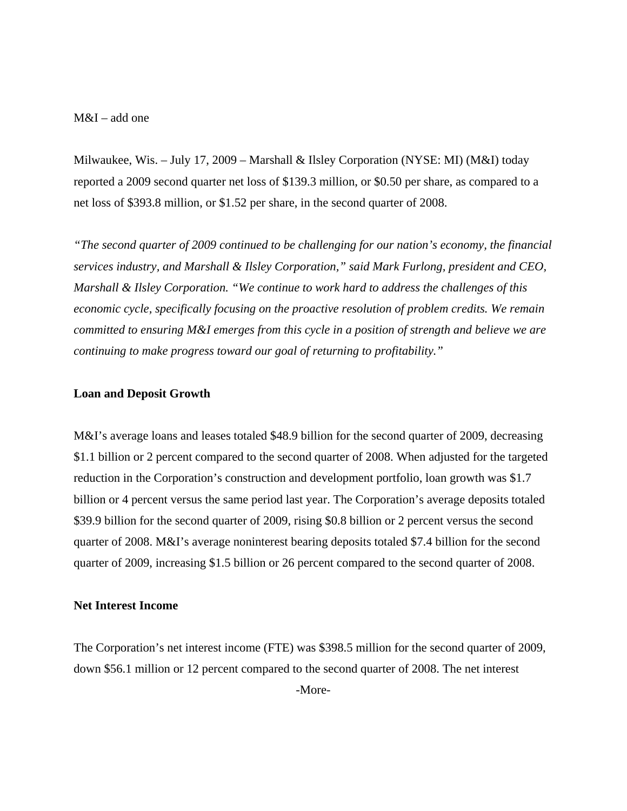## M&I – add one

Milwaukee, Wis. – July 17, 2009 – Marshall & Ilsley Corporation (NYSE: MI) (M&I) today reported a 2009 second quarter net loss of \$139.3 million, or \$0.50 per share, as compared to a net loss of \$393.8 million, or \$1.52 per share, in the second quarter of 2008.

*"The second quarter of 2009 continued to be challenging for our nation's economy, the financial services industry, and Marshall & Ilsley Corporation," said Mark Furlong, president and CEO, Marshall & Ilsley Corporation. "We continue to work hard to address the challenges of this economic cycle, specifically focusing on the proactive resolution of problem credits. We remain committed to ensuring M&I emerges from this cycle in a position of strength and believe we are continuing to make progress toward our goal of returning to profitability."* 

## **Loan and Deposit Growth**

M&I's average loans and leases totaled \$48.9 billion for the second quarter of 2009, decreasing \$1.1 billion or 2 percent compared to the second quarter of 2008. When adjusted for the targeted reduction in the Corporation's construction and development portfolio, loan growth was \$1.7 billion or 4 percent versus the same period last year. The Corporation's average deposits totaled \$39.9 billion for the second quarter of 2009, rising \$0.8 billion or 2 percent versus the second quarter of 2008. M&I's average noninterest bearing deposits totaled \$7.4 billion for the second quarter of 2009, increasing \$1.5 billion or 26 percent compared to the second quarter of 2008.

## **Net Interest Income**

The Corporation's net interest income (FTE) was \$398.5 million for the second quarter of 2009, down \$56.1 million or 12 percent compared to the second quarter of 2008. The net interest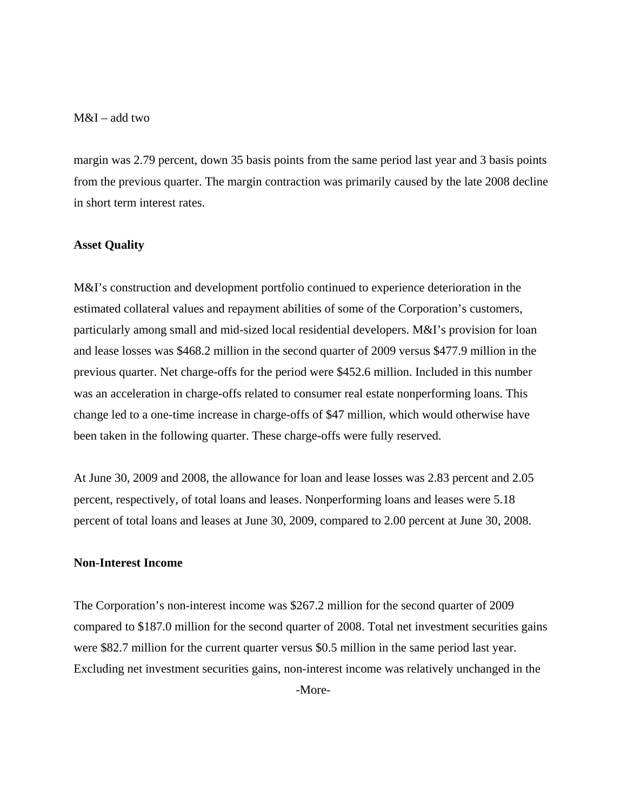## M&I – add two

margin was 2.79 percent, down 35 basis points from the same period last year and 3 basis points from the previous quarter. The margin contraction was primarily caused by the late 2008 decline in short term interest rates.

## **Asset Quality**

M&I's construction and development portfolio continued to experience deterioration in the estimated collateral values and repayment abilities of some of the Corporation's customers, particularly among small and mid-sized local residential developers. M&I's provision for loan and lease losses was \$468.2 million in the second quarter of 2009 versus \$477.9 million in the previous quarter. Net charge-offs for the period were \$452.6 million. Included in this number was an acceleration in charge-offs related to consumer real estate nonperforming loans. This change led to a one-time increase in charge-offs of \$47 million, which would otherwise have been taken in the following quarter. These charge-offs were fully reserved.

At June 30, 2009 and 2008, the allowance for loan and lease losses was 2.83 percent and 2.05 percent, respectively, of total loans and leases. Nonperforming loans and leases were 5.18 percent of total loans and leases at June 30, 2009, compared to 2.00 percent at June 30, 2008.

## **Non-Interest Income**

The Corporation's non-interest income was \$267.2 million for the second quarter of 2009 compared to \$187.0 million for the second quarter of 2008. Total net investment securities gains were \$82.7 million for the current quarter versus \$0.5 million in the same period last year. Excluding net investment securities gains, non-interest income was relatively unchanged in the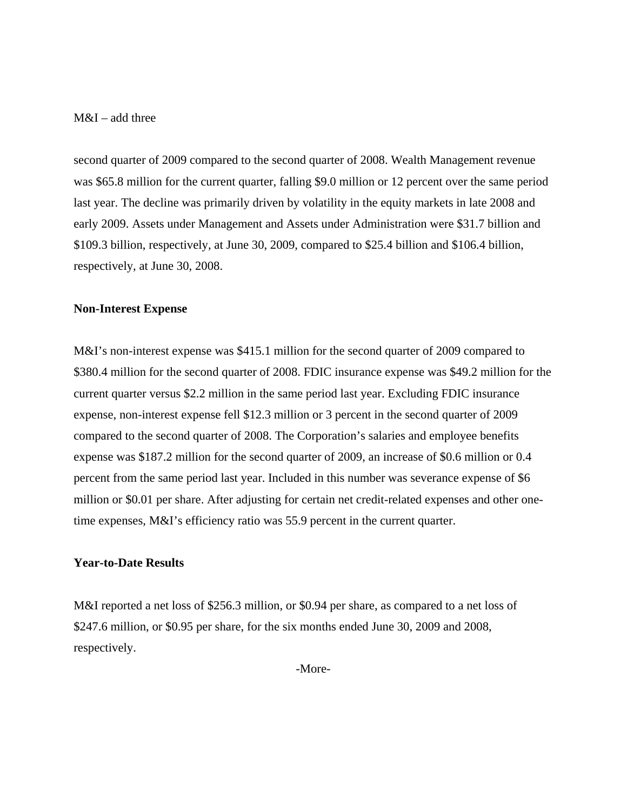## M&I – add three

second quarter of 2009 compared to the second quarter of 2008. Wealth Management revenue was \$65.8 million for the current quarter, falling \$9.0 million or 12 percent over the same period last year. The decline was primarily driven by volatility in the equity markets in late 2008 and early 2009. Assets under Management and Assets under Administration were \$31.7 billion and \$109.3 billion, respectively, at June 30, 2009, compared to \$25.4 billion and \$106.4 billion, respectively, at June 30, 2008.

#### **Non-Interest Expense**

M&I's non-interest expense was \$415.1 million for the second quarter of 2009 compared to \$380.4 million for the second quarter of 2008. FDIC insurance expense was \$49.2 million for the current quarter versus \$2.2 million in the same period last year. Excluding FDIC insurance expense, non-interest expense fell \$12.3 million or 3 percent in the second quarter of 2009 compared to the second quarter of 2008. The Corporation's salaries and employee benefits expense was \$187.2 million for the second quarter of 2009, an increase of \$0.6 million or 0.4 percent from the same period last year. Included in this number was severance expense of \$6 million or \$0.01 per share. After adjusting for certain net credit-related expenses and other onetime expenses, M&I's efficiency ratio was 55.9 percent in the current quarter.

## **Year-to-Date Results**

M&I reported a net loss of \$256.3 million, or \$0.94 per share, as compared to a net loss of \$247.6 million, or \$0.95 per share, for the six months ended June 30, 2009 and 2008, respectively.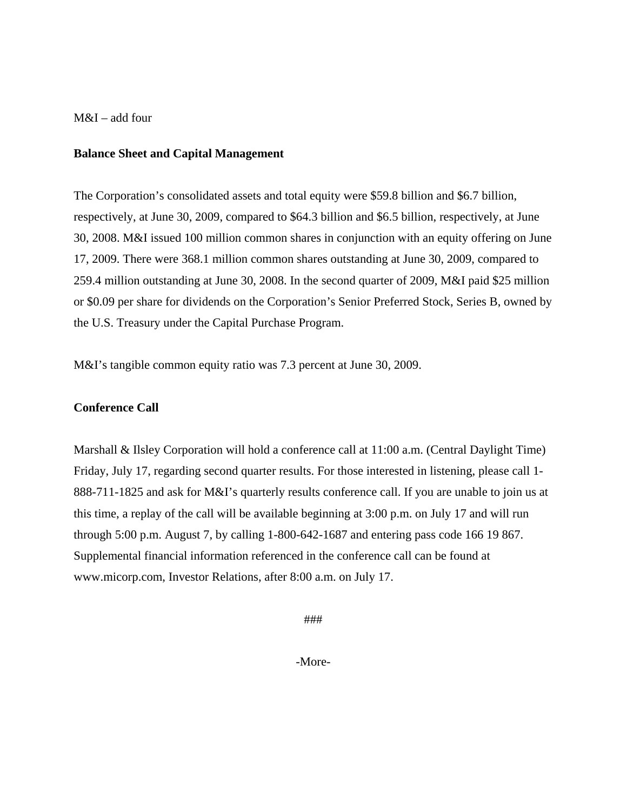## M&I – add four

## **Balance Sheet and Capital Management**

The Corporation's consolidated assets and total equity were \$59.8 billion and \$6.7 billion, respectively, at June 30, 2009, compared to \$64.3 billion and \$6.5 billion, respectively, at June 30, 2008. M&I issued 100 million common shares in conjunction with an equity offering on June 17, 2009. There were 368.1 million common shares outstanding at June 30, 2009, compared to 259.4 million outstanding at June 30, 2008. In the second quarter of 2009, M&I paid \$25 million or \$0.09 per share for dividends on the Corporation's Senior Preferred Stock, Series B, owned by the U.S. Treasury under the Capital Purchase Program.

M&I's tangible common equity ratio was 7.3 percent at June 30, 2009.

## **Conference Call**

Marshall & Ilsley Corporation will hold a conference call at 11:00 a.m. (Central Daylight Time) Friday, July 17, regarding second quarter results. For those interested in listening, please call 1- 888-711-1825 and ask for M&I's quarterly results conference call. If you are unable to join us at this time, a replay of the call will be available beginning at 3:00 p.m. on July 17 and will run through 5:00 p.m. August 7, by calling 1-800-642-1687 and entering pass code 166 19 867. Supplemental financial information referenced in the conference call can be found at www.micorp.com, Investor Relations, after 8:00 a.m. on July 17.

###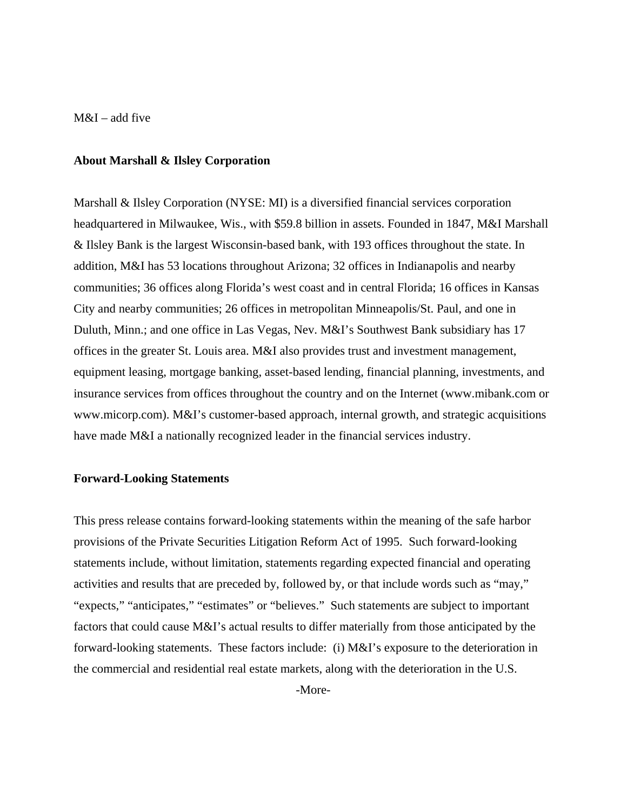## M&I – add five

#### **About Marshall & Ilsley Corporation**

Marshall & Ilsley Corporation (NYSE: MI) is a diversified financial services corporation headquartered in Milwaukee, Wis., with \$59.8 billion in assets. Founded in 1847, M&I Marshall & Ilsley Bank is the largest Wisconsin-based bank, with 193 offices throughout the state. In addition, M&I has 53 locations throughout Arizona; 32 offices in Indianapolis and nearby communities; 36 offices along Florida's west coast and in central Florida; 16 offices in Kansas City and nearby communities; 26 offices in metropolitan Minneapolis/St. Paul, and one in Duluth, Minn.; and one office in Las Vegas, Nev. M&I's Southwest Bank subsidiary has 17 offices in the greater St. Louis area. M&I also provides trust and investment management, equipment leasing, mortgage banking, asset-based lending, financial planning, investments, and insurance services from offices throughout the country and on the Internet (www.mibank.com or www.micorp.com). M&I's customer-based approach, internal growth, and strategic acquisitions have made M&I a nationally recognized leader in the financial services industry.

## **Forward-Looking Statements**

This press release contains forward-looking statements within the meaning of the safe harbor provisions of the Private Securities Litigation Reform Act of 1995. Such forward-looking statements include, without limitation, statements regarding expected financial and operating activities and results that are preceded by, followed by, or that include words such as "may," "expects," "anticipates," "estimates" or "believes." Such statements are subject to important factors that could cause M&I's actual results to differ materially from those anticipated by the forward-looking statements. These factors include: (i) M&I's exposure to the deterioration in the commercial and residential real estate markets, along with the deterioration in the U.S.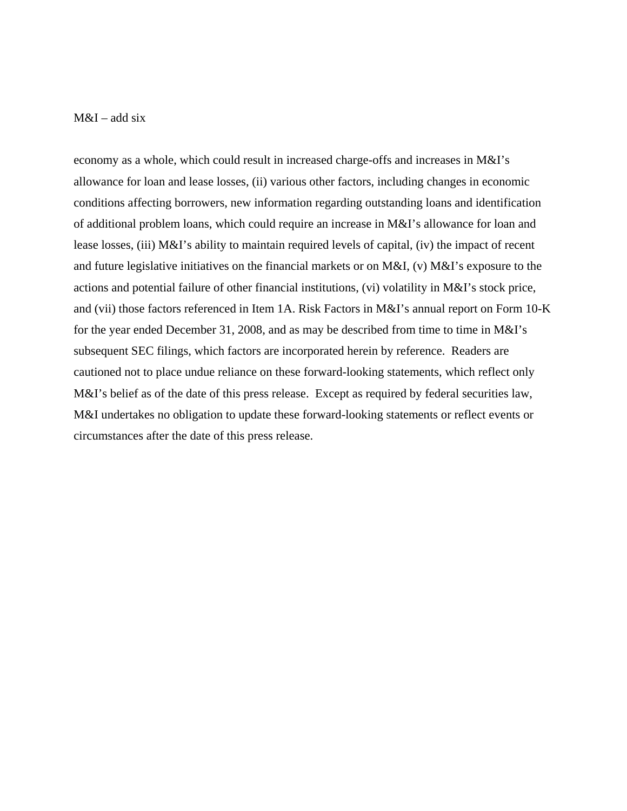## $M&I$  – add six

economy as a whole, which could result in increased charge-offs and increases in M&I's allowance for loan and lease losses, (ii) various other factors, including changes in economic conditions affecting borrowers, new information regarding outstanding loans and identification of additional problem loans, which could require an increase in M&I's allowance for loan and lease losses, (iii) M&I's ability to maintain required levels of capital, (iv) the impact of recent and future legislative initiatives on the financial markets or on M&I, (v) M&I's exposure to the actions and potential failure of other financial institutions, (vi) volatility in M&I's stock price, and (vii) those factors referenced in Item 1A. Risk Factors in M&I's annual report on Form 10-K for the year ended December 31, 2008, and as may be described from time to time in M&I's subsequent SEC filings, which factors are incorporated herein by reference. Readers are cautioned not to place undue reliance on these forward-looking statements, which reflect only M&I's belief as of the date of this press release. Except as required by federal securities law, M&I undertakes no obligation to update these forward-looking statements or reflect events or circumstances after the date of this press release.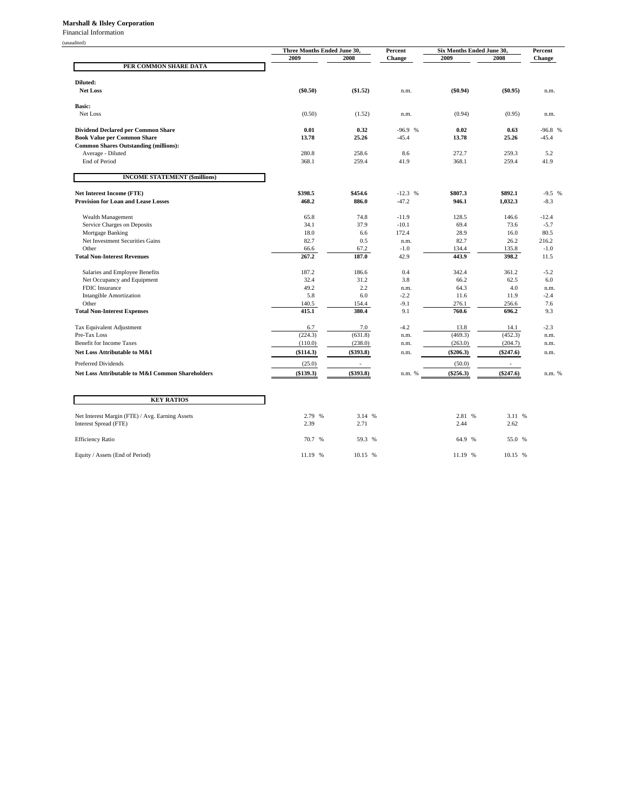#### **Marshall & Ilsley Corporation**

Financial Information

| unauc |  |
|-------|--|
|       |  |

|                                                                                 | Three Months Ended June 30, |                | Percent             | Six Months Ended June 30, | Percent       |                     |  |
|---------------------------------------------------------------------------------|-----------------------------|----------------|---------------------|---------------------------|---------------|---------------------|--|
|                                                                                 | 2009                        | 2008           | Change              | 2009                      | 2008          | Change              |  |
| PER COMMON SHARE DATA                                                           |                             |                |                     |                           |               |                     |  |
|                                                                                 |                             |                |                     |                           |               |                     |  |
| Diluted:                                                                        |                             |                |                     |                           |               |                     |  |
| <b>Net Loss</b>                                                                 | (\$0.50)                    | (\$1.52)       | n.m.                | $(\$0.94)$                | (\$0.95)      | n.m.                |  |
|                                                                                 |                             |                |                     |                           |               |                     |  |
| <b>Basic:</b>                                                                   |                             |                |                     |                           |               |                     |  |
| Net Loss                                                                        | (0.50)                      | (1.52)         | n.m.                | (0.94)                    | (0.95)        | n.m.                |  |
|                                                                                 |                             |                |                     |                           |               |                     |  |
| <b>Dividend Declared per Common Share</b><br><b>Book Value per Common Share</b> | 0.01<br>13.78               | 0.32<br>25.26  | $-96.9%$<br>$-45.4$ | 0.02<br>13.78             | 0.63<br>25.26 | $-96.8%$<br>$-45.4$ |  |
| <b>Common Shares Outstanding (millions):</b>                                    |                             |                |                     |                           |               |                     |  |
| Average - Diluted                                                               | 280.8                       | 258.6          | 8.6                 | 272.7                     | 259.3         | 5.2                 |  |
| End of Period                                                                   | 368.1                       | 259.4          | 41.9                | 368.1                     | 259.4         | 41.9                |  |
|                                                                                 |                             |                |                     |                           |               |                     |  |
| <b>INCOME STATEMENT (\$millions)</b>                                            |                             |                |                     |                           |               |                     |  |
|                                                                                 |                             |                |                     |                           |               |                     |  |
| <b>Net Interest Income (FTE)</b>                                                | \$398.5                     | \$454.6        | $-12.3$ %           | \$807.3                   | \$892.1       | $-9.5%$             |  |
| <b>Provision for Loan and Lease Losses</b>                                      | 468.2                       | 886.0          | $-47.2$             | 946.1                     | 1,032.3       | $-8.3$              |  |
|                                                                                 |                             |                |                     |                           |               |                     |  |
| Wealth Management                                                               | 65.8                        | 74.8           | $-11.9$             | 128.5                     | 146.6         | $-12.4$             |  |
| Service Charges on Deposits                                                     | 34.1                        | 37.9           | $-10.1$             | 69.4                      | 73.6          | $-5.7$              |  |
| Mortgage Banking                                                                | 18.0                        | 6.6            | 172.4               | 28.9                      | 16.0          | 80.5                |  |
| Net Investment Securities Gains                                                 | 82.7                        | 0.5            | n.m.                | 82.7                      | 26.2          | 216.2               |  |
| Other                                                                           | 66.6                        | 67.2           | $-1.0$              | 134.4                     | 135.8         | $-1.0$              |  |
| <b>Total Non-Interest Revenues</b>                                              | 267.2                       | 187.0          | 42.9                | 443.9                     | 398.2         | 11.5                |  |
| Salaries and Employee Benefits                                                  | 187.2                       | 186.6          | 0.4                 | 342.4                     | 361.2         | $-5.2$              |  |
| Net Occupancy and Equipment                                                     | 32.4                        | 31.2           | 3.8                 | 66.2                      | 62.5          | 6.0                 |  |
| FDIC Insurance                                                                  | 49.2                        | 2.2            | n.m.                | 64.3                      | 4.0           | n.m.                |  |
| <b>Intangible Amortization</b>                                                  | 5.8                         | 6.0            | $-2.2$              | 11.6                      | 11.9          | $-2.4$              |  |
| Other                                                                           | 140.5                       | 154.4          | $-9.1$              | 276.1                     | 256.6         | 7.6                 |  |
| <b>Total Non-Interest Expenses</b>                                              | 415.1                       | 380.4          | 9.1                 | 760.6                     | 696.2         | 9.3                 |  |
|                                                                                 |                             |                |                     |                           |               |                     |  |
| Tax Equivalent Adjustment                                                       | 6.7                         | 7.0            | $-4.2$              | 13.8                      | 14.1          | $-2.3$              |  |
| Pre-Tax Loss                                                                    | (224.3)                     | (631.8)        | n.m.                | (469.3)                   | (452.3)       | n.m.                |  |
| <b>Benefit for Income Taxes</b>                                                 | (110.0)                     | (238.0)        | n.m.                | (263.0)                   | (204.7)       | n.m.                |  |
| Net Loss Attributable to M&I                                                    | (\$114.3)                   | $(\$393.8)$    | n.m.                | $(\$206.3)$               | $(\$247.6)$   | n.m.                |  |
| Preferred Dividends                                                             | (25.0)                      | $\blacksquare$ |                     | (50.0)                    | $\sim$        |                     |  |
| Net Loss Attributable to M&I Common Shareholders                                | (\$139.3)                   | (\$393.8)      | n.m. %              | $(\$256.3)$               | $(\$247.6)$   | n.m. %              |  |
|                                                                                 |                             |                |                     |                           |               |                     |  |
|                                                                                 |                             |                |                     |                           |               |                     |  |
| <b>KEY RATIOS</b>                                                               |                             |                |                     |                           |               |                     |  |
|                                                                                 |                             |                |                     |                           |               |                     |  |
| Net Interest Margin (FTE) / Avg. Earning Assets                                 | 2.79 %                      | 3.14 %         |                     | 2.81 %                    | 3.11 %        |                     |  |
| Interest Spread (FTE)                                                           | 2.39                        | 2.71           |                     | 2.44                      | 2.62          |                     |  |
|                                                                                 |                             |                |                     |                           |               |                     |  |
| <b>Efficiency Ratio</b>                                                         | 70.7 %                      | 59.3 %         |                     | 64.9 %                    | 55.0 %        |                     |  |

Equity / Assets (End of Period) 11.19 % 10.15 % 11.19 % 10.15 % 10.15 % 11.19 % 10.15 %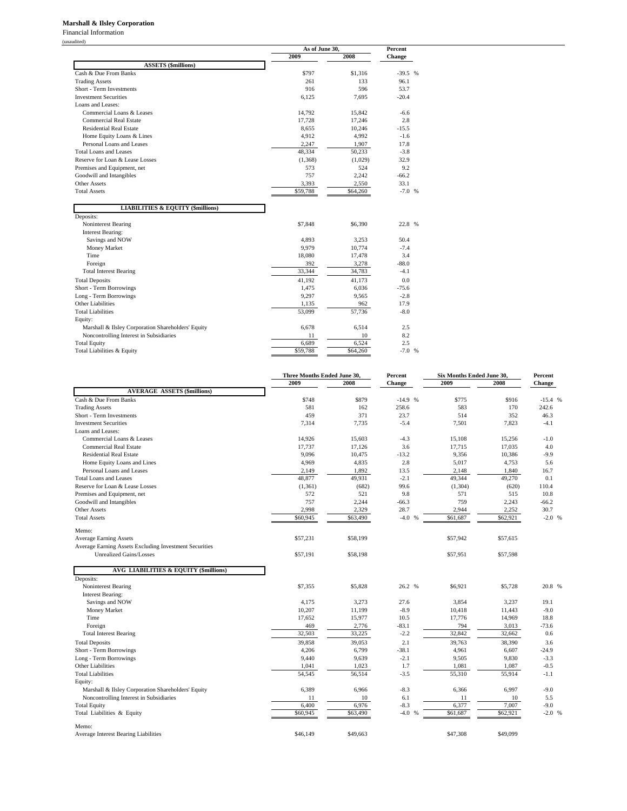#### **Marshall & Ilsley Corporation**

Financial Information

|                                                                                    |          | As of June 30,    |                 |  |
|------------------------------------------------------------------------------------|----------|-------------------|-----------------|--|
|                                                                                    | 2009     | 2008              | <b>Change</b>   |  |
| <b>ASSETS</b> (\$millions)                                                         |          |                   |                 |  |
| Cash & Due From Banks                                                              | \$797    | \$1.316           | $-39.5%$        |  |
| <b>Trading Assets</b>                                                              | 261      | 133               | 96.1            |  |
| Short - Term Investments                                                           | 916      | 596               | 53.7            |  |
| <b>Investment Securities</b>                                                       | 6.125    | 7.695             | $-20.4$         |  |
| Loans and Leases:                                                                  |          |                   |                 |  |
| Commercial Loans & Leases                                                          | 14,792   | 15,842            | $-6.6$          |  |
| Commercial Real Estate                                                             | 17,728   | 17,246            | 2.8             |  |
| <b>Residential Real Estate</b>                                                     | 8,655    | 10,246            | $-15.5$         |  |
| Home Equity Loans & Lines                                                          | 4,912    | 4,992             | $-1.6$          |  |
| Personal Loans and Leases                                                          | 2,247    | 1,907             | 17.8            |  |
| Total Loans and Leases                                                             | 48,334   | 50,233            | $-3.8$          |  |
| Reserve for Loan & Lease Losses                                                    | (1, 368) | (1,029)           | 32.9            |  |
| Premises and Equipment, net                                                        | 573      | 524               | 9.2             |  |
| Goodwill and Intangibles                                                           | 757      | 2.242             | $-66.2$         |  |
| <b>Other Assets</b>                                                                | 3.393    | 2.550             | 33.1            |  |
| <b>Total Assets</b>                                                                | \$59,788 | \$64,260          | $-7.0%$         |  |
| Deposits:                                                                          |          |                   |                 |  |
| Noninterest Bearing                                                                | \$7,848  | \$6,390           | 22.8 %          |  |
| <b>Interest Bearing:</b>                                                           |          |                   |                 |  |
| Savings and NOW                                                                    | 4,893    | 3,253             | 50.4            |  |
| Money Market                                                                       | 9,979    | 10,774            | $-7.4$          |  |
| Time                                                                               | 18,080   | 17,478            | 3.4             |  |
| Foreign                                                                            | 392      | 3,278             | $-88.0$         |  |
| <b>Total Interest Bearing</b>                                                      | 33,344   | 34,783            | $-4.1$          |  |
| <b>Total Deposits</b>                                                              | 41,192   | 41.173            | 0.0             |  |
| Short - Term Borrowings                                                            | 1,475    | 6,036             | $-75.6$         |  |
|                                                                                    | 9,297    | 9.565             | $-2.8$          |  |
|                                                                                    |          |                   | 17.9            |  |
|                                                                                    | 1.135    | 962               |                 |  |
|                                                                                    | 53,099   | 57,736            | $-8.0$          |  |
| Long - Term Borrowings<br>Other Liabilities<br><b>Total Liabilities</b><br>Equity: |          |                   |                 |  |
| Marshall & Ilsley Corporation Shareholders' Equity                                 | 6,678    | 6,514             | 2.5             |  |
| Noncontrolling Interest in Subsidiaries                                            | 11       | 10                | 8.2             |  |
| <b>Total Equity</b>                                                                | 6.689    | 6.524<br>\$64,260 | 2.5<br>$-7.0$ % |  |

|                                                        | Three Months Ended June 30, |          | Percent  | Six Months Ended June 30, |          | Percent  |
|--------------------------------------------------------|-----------------------------|----------|----------|---------------------------|----------|----------|
|                                                        | 2009                        | 2008     | Change   | 2009                      | 2008     | Change   |
| <b>AVERAGE ASSETS (\$millions)</b>                     |                             |          |          |                           |          |          |
| Cash & Due From Banks                                  | \$748                       | \$879    | $-14.9%$ | \$775                     | \$916    | $-15.4%$ |
| <b>Trading Assets</b>                                  | 581                         | 162      | 258.6    | 583                       | 170      | 242.6    |
| Short - Term Investments                               | 459                         | 371      | 23.7     | 514                       | 352      | 46.3     |
| <b>Investment Securities</b>                           | 7.314                       | 7,735    | $-5.4$   | 7.501                     | 7.823    | $-4.1$   |
| Loans and Leases:                                      |                             |          |          |                           |          |          |
| Commercial Loans & Leases                              | 14.926                      | 15.603   | $-4.3$   | 15.108                    | 15.256   | $-1.0$   |
| <b>Commercial Real Estate</b>                          | 17,737                      | 17,126   | 3.6      | 17,715                    | 17,035   | 4.0      |
| <b>Residential Real Estate</b>                         | 9.096                       | 10.475   | $-13.2$  | 9,356                     | 10.386   | $-9.9$   |
| Home Equity Loans and Lines                            | 4,969                       | 4,835    | 2.8      | 5,017                     | 4,753    | 5.6      |
| Personal Loans and Leases                              | 2,149                       | 1,892    | 13.5     | 2,148                     | 1,840    | 16.7     |
| <b>Total Loans and Leases</b>                          | 48,877                      | 49,931   | $-2.1$   | 49,344                    | 49,270   | 0.1      |
| Reserve for Loan & Lease Losses                        | (1, 361)                    | (682)    | 99.6     | (1,304)                   | (620)    | 110.4    |
| Premises and Equipment, net                            | 572                         | 521      | 9.8      | 571                       | 515      | 10.8     |
| Goodwill and Intangibles                               | 757                         | 2,244    | $-66.3$  | 759                       | 2,243    | $-66.2$  |
| Other Assets                                           | 2,998                       | 2,329    | 28.7     | 2,944                     | 2,252    | 30.7     |
| <b>Total Assets</b>                                    | \$60,945                    | \$63,490 | $-4.0%$  | \$61,687                  | \$62,921 | $-2.0$ % |
| Memo:                                                  |                             |          |          |                           |          |          |
| <b>Average Earning Assets</b>                          | \$57,231                    | \$58,199 |          | \$57,942                  | \$57,615 |          |
| Average Earning Assets Excluding Investment Securities |                             |          |          |                           |          |          |
| <b>Unrealized Gains/Losses</b>                         | \$57,191                    | \$58.198 |          | \$57,951                  | \$57,598 |          |
|                                                        |                             |          |          |                           |          |          |
| <b>AVG LIABILITIES &amp; EQUITY (\$millions)</b>       |                             |          |          |                           |          |          |
| Deposits:                                              |                             |          |          |                           |          |          |
| Noninterest Bearing                                    | \$7,355                     | \$5,828  | 26.2 %   | \$6,921                   | \$5,728  | 20.8 %   |
| <b>Interest Bearing:</b>                               |                             |          |          |                           |          |          |
| Savings and NOW                                        | 4.175                       | 3,273    | 27.6     | 3,854                     | 3.237    | 19.1     |
| Money Market                                           | 10,207                      | 11,199   | $-8.9$   | 10,418                    | 11,443   | $-9.0$   |
| Time                                                   | 17,652                      | 15,977   | 10.5     | 17,776                    | 14,969   | 18.8     |
| Foreign                                                | 469                         | 2,776    | $-83.1$  | 794                       | 3,013    | $-73.6$  |
| <b>Total Interest Bearing</b>                          | 32,503                      | 33,225   | $-2.2$   | 32,842                    | 32,662   | 0.6      |
| <b>Total Deposits</b>                                  | 39.858                      | 39.053   | 2.1      | 39.763                    | 38,390   | 3.6      |
| Short - Term Borrowings                                | 4,206                       | 6,799    | $-38.1$  | 4,961                     | 6,607    | $-24.9$  |
| Long - Term Borrowings                                 | 9.440                       | 9.639    | $-2.1$   | 9,505                     | 9,830    | $-3.3$   |
| Other Liabilities                                      | 1,041                       | 1,023    | 1.7      | 1,081                     | 1,087    | $-0.5$   |
| <b>Total Liabilities</b>                               | 54,545                      | 56,514   | $-3.5$   | 55,310                    | 55,914   | $-1.1$   |
| Equity:                                                |                             |          |          |                           |          |          |
| Marshall & Ilsley Corporation Shareholders' Equity     | 6,389                       | 6.966    | $-8.3$   | 6,366                     | 6,997    | $-9.0$   |
| Noncontrolling Interest in Subsidiaries                | 11                          | 10       | 6.1      | 11                        | 10       | 5.5      |
| <b>Total Equity</b>                                    | 6,400                       | 6,976    | $-8.3$   | 6,377                     | 7,007    | $-9.0$   |
| Total Liabilities & Equity                             | \$60,945                    | \$63,490 | $-4.0%$  | \$61,687                  | \$62,921 | $-2.0%$  |
| Memo:                                                  |                             |          |          |                           |          |          |
| Average Interest Bearing Liabilities                   | \$46,149                    | \$49,663 |          | \$47,308                  | \$49,099 |          |